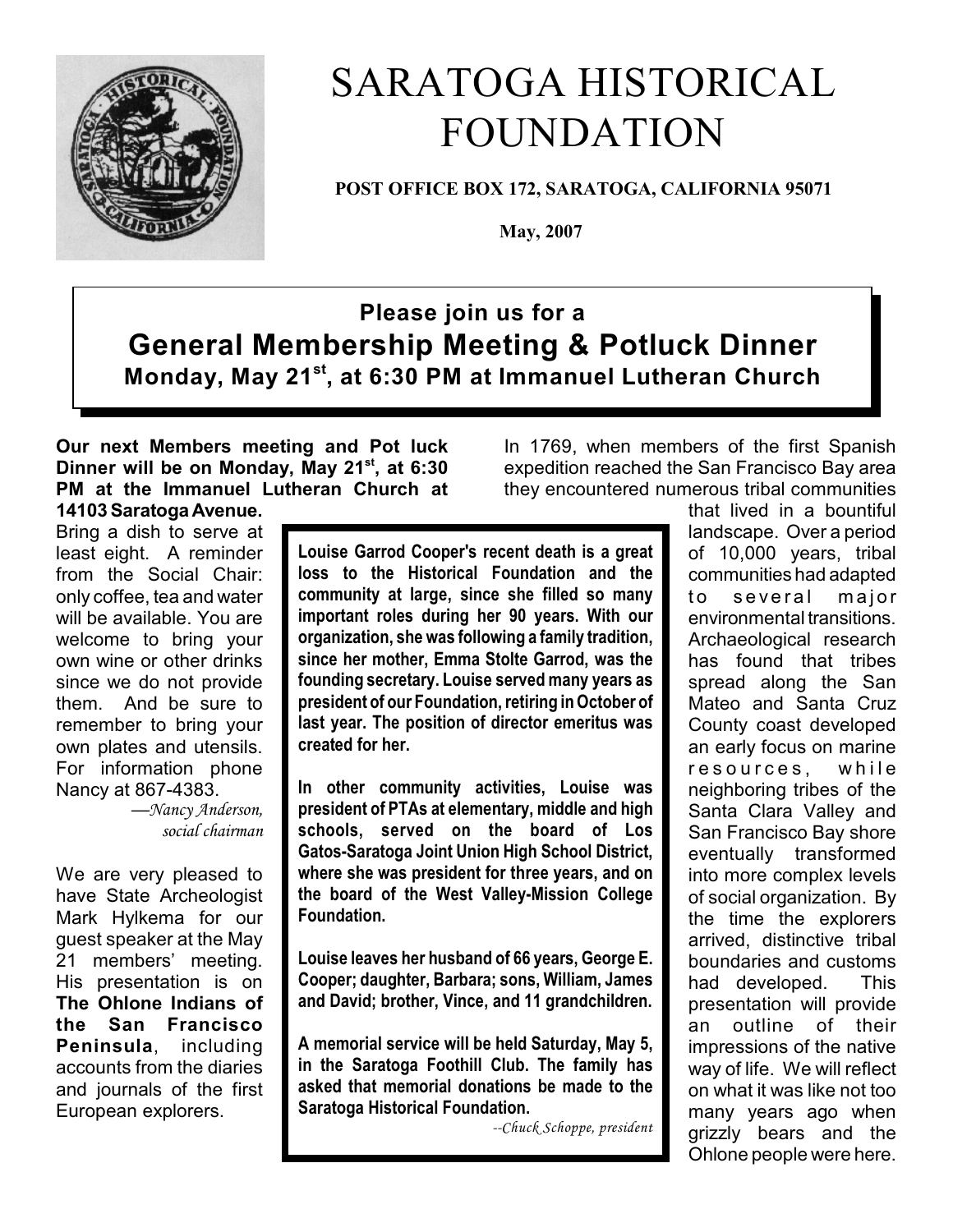

# SARATOGA HISTORICAL FOUNDATION

**POST OFFICE BOX 172, SARATOGA, CALIFORNIA 95071**

 **May, 2007**

## **Please join us for a General Membership Meeting & Potluck Dinner Monday, May 21st, at 6:30 PM at Immanuel Lutheran Church**

#### **Our next Members meeting and Pot luck Dinner will be on Monday, May 21<sup>st</sup>**, at 6:30 **PM at the Immanuel Lutheran Church at 14103 Saratoga Avenue.**

Bring a dish to serve at least eight. A reminder from the Social Chair: only coffee, tea and water will be available. You are welcome to bring your own wine or other drinks since we do not provide them. And be sure to remember to bring your own plates and utensils. For information phone Nancy at 867-4383.

> *—Nancy Anderson, social chairman*

We are very pleased to have State Archeologist Mark Hylkema for our guest speaker at the May 21 members' meeting. His presentation is on **The Ohlone Indians of the San Francisco Peninsula**, including accounts from the diaries and journals of the first European explorers.

**Louise Garrod Cooper's recent death is a great loss to the Historical Foundation and the community at large, since she filled so many important roles during her 90 years. With our organization, she was following a family tradition, since her mother, Emma Stolte Garrod, was the founding secretary. Louise served many years as president of our Foundation, retiring in October of last year. The position of director emeritus was created for her.**

**In other community activities, Louise was president of PTAs at elementary, middle and high schools, served on the board of Los Gatos-Saratoga Joint Union High School District, where she was president for three years, and on the board of the West Valley-Mission College Foundation.**

**Louise leaves her husband of 66 years, George E. Cooper; daughter, Barbara; sons, William, James and David; brother, Vince, and 11 grandchildren.**

**A memorial service will be held Saturday, May 5, in the Saratoga Foothill Club. The family has asked that memorial donations be made to the Saratoga Historical Foundation.** 

*--Chuck Schoppe, president*

In 1769, when members of the first Spanish expedition reached the San Francisco Bay area they encountered numerous tribal communities that lived in a bountiful

landscape. Over a period of 10,000 years, tribal communities had adapted to several major environmental transitions. Archaeological research has found that tribes spread along the San Mateo and Santa Cruz County coast developed an early focus on marine resources, while neighboring tribes of the Santa Clara Valley and San Francisco Bay shore eventually transformed into more complex levels of social organization. By the time the explorers arrived, distinctive tribal boundaries and customs had developed. This presentation will provide an outline of their impressions of the native way of life. We will reflect on what it was like not too many years ago when grizzly bears and the Ohlone people were here.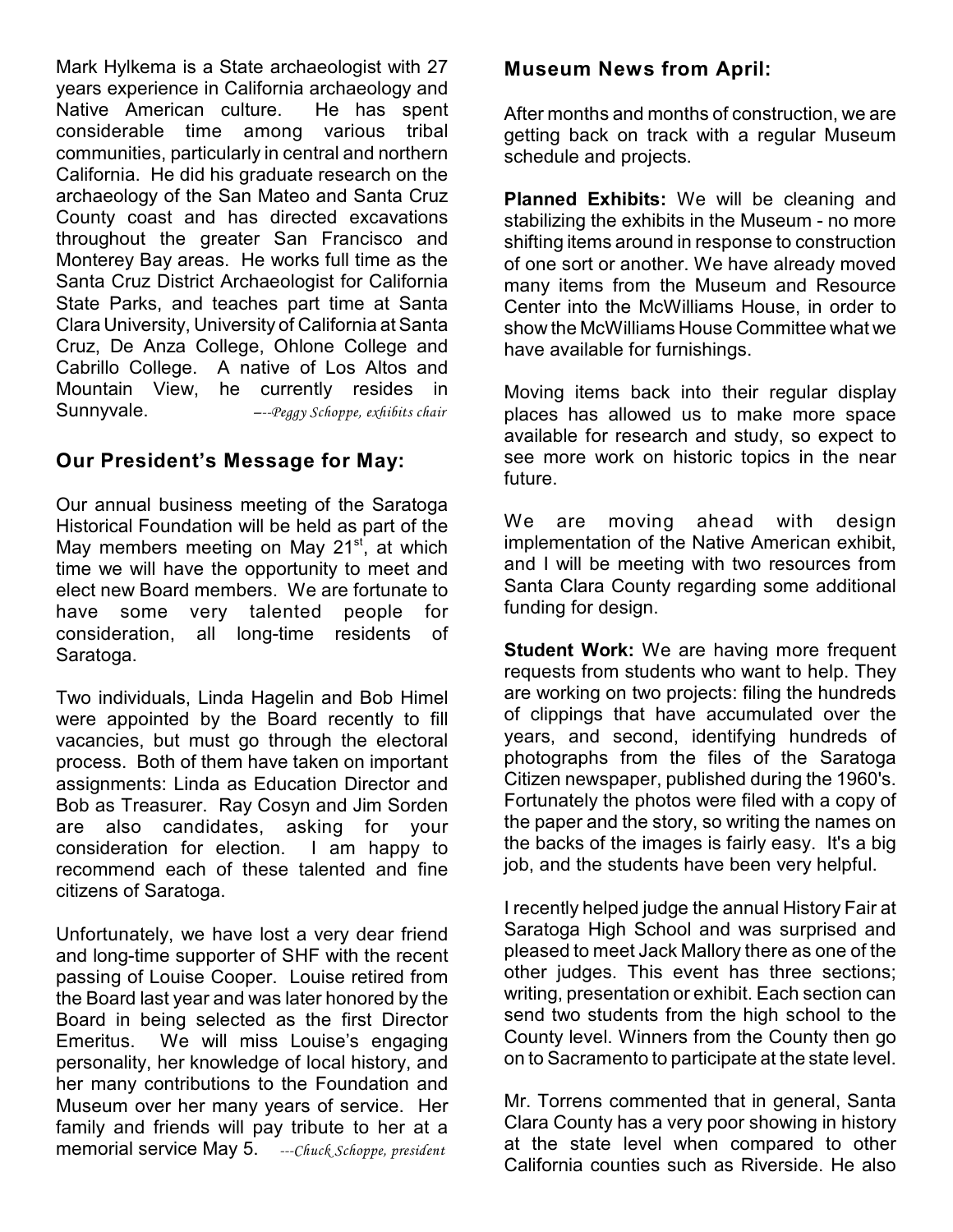Mark Hylkema is a State archaeologist with 27 years experience in California archaeology and Native American culture. He has spent considerable time among various tribal communities, particularly in central and northern California. He did his graduate research on the archaeology of the San Mateo and Santa Cruz County coast and has directed excavations throughout the greater San Francisco and Monterey Bay areas. He works full time as the Santa Cruz District Archaeologist for California State Parks, and teaches part time at Santa Clara University, University of California at Santa Cruz, De Anza College, Ohlone College and Cabrillo College. A native of Los Altos and Mountain View, he currently resides in Sunnyvale. *–--Peggy Schoppe, exhibits chair*

#### **Our President's Message for May:**

Our annual business meeting of the Saratoga Historical Foundation will be held as part of the May members meeting on May  $21<sup>st</sup>$ , at which time we will have the opportunity to meet and elect new Board members. We are fortunate to have some very talented people for consideration, all long-time residents of Saratoga.

Two individuals, Linda Hagelin and Bob Himel were appointed by the Board recently to fill vacancies, but must go through the electoral process. Both of them have taken on important assignments: Linda as Education Director and Bob as Treasurer. Ray Cosyn and Jim Sorden are also candidates, asking for your consideration for election. I am happy to recommend each of these talented and fine citizens of Saratoga.

Unfortunately, we have lost a very dear friend and long-time supporter of SHF with the recent passing of Louise Cooper. Louise retired from the Board last year and was later honored by the Board in being selected as the first Director Emeritus. We will miss Louise's engaging personality, her knowledge of local history, and her many contributions to the Foundation and Museum over her many years of service. Her family and friends will pay tribute to her at a memorial service May 5. *---Chuck Schoppe, president*

#### **Museum News from April:**

After months and months of construction, we are getting back on track with a regular Museum schedule and projects.

**Planned Exhibits:** We will be cleaning and stabilizing the exhibits in the Museum - no more shifting items around in response to construction of one sort or another. We have already moved many items from the Museum and Resource Center into the McWilliams House, in order to show the McWilliams House Committee what we have available for furnishings.

Moving items back into their regular display places has allowed us to make more space available for research and study, so expect to see more work on historic topics in the near future.

We are moving ahead with design implementation of the Native American exhibit, and I will be meeting with two resources from Santa Clara County regarding some additional funding for design.

**Student Work:** We are having more frequent requests from students who want to help. They are working on two projects: filing the hundreds of clippings that have accumulated over the years, and second, identifying hundreds of photographs from the files of the Saratoga Citizen newspaper, published during the 1960's. Fortunately the photos were filed with a copy of the paper and the story, so writing the names on the backs of the images is fairly easy. It's a big job, and the students have been very helpful.

I recently helped judge the annual History Fair at Saratoga High School and was surprised and pleased to meet Jack Mallory there as one of the other judges. This event has three sections; writing, presentation or exhibit. Each section can send two students from the high school to the County level. Winners from the County then go on to Sacramento to participate at the state level.

Mr. Torrens commented that in general, Santa Clara County has a very poor showing in history at the state level when compared to other California counties such as Riverside. He also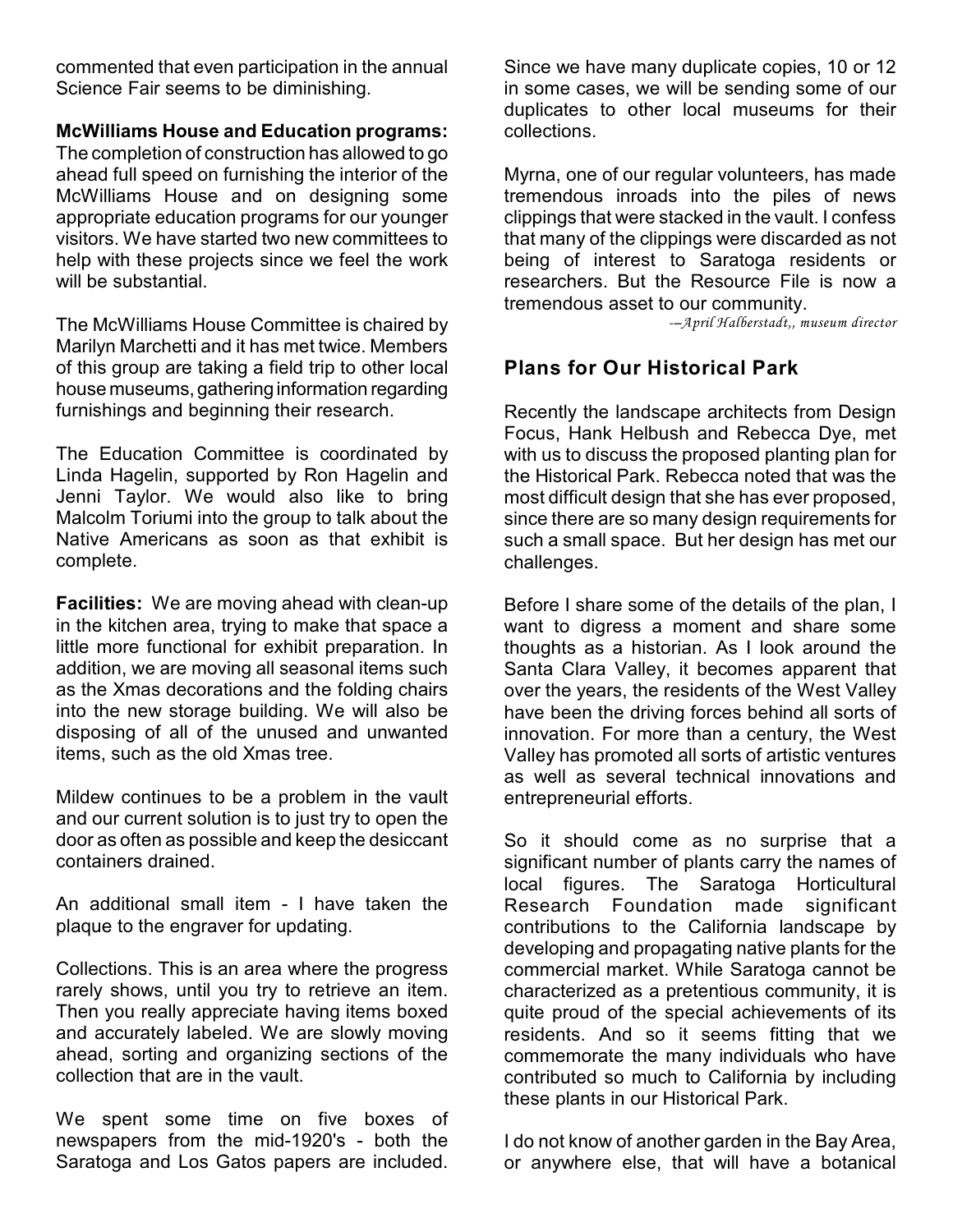commented that even participation in the annual Science Fair seems to be diminishing.

#### **McWilliams House and Education programs:**

The completion of construction has allowed to go ahead full speed on furnishing the interior of the McWilliams House and on designing some appropriate education programs for our younger visitors. We have started two new committees to help with these projects since we feel the work will be substantial.

The McWilliams House Committee is chaired by Marilyn Marchetti and it has met twice. Members of this group are taking a field trip to other local house museums, gathering information regarding furnishings and beginning their research.

The Education Committee is coordinated by Linda Hagelin, supported by Ron Hagelin and Jenni Taylor. We would also like to bring Malcolm Toriumi into the group to talk about the Native Americans as soon as that exhibit is complete.

**Facilities:** We are moving ahead with clean-up in the kitchen area, trying to make that space a little more functional for exhibit preparation. In addition, we are moving all seasonal items such as the Xmas decorations and the folding chairs into the new storage building. We will also be disposing of all of the unused and unwanted items, such as the old Xmas tree.

Mildew continues to be a problem in the vault and our current solution is to just try to open the door as often as possible and keep the desiccant containers drained.

An additional small item - I have taken the plaque to the engraver for updating.

Collections. This is an area where the progress rarely shows, until you try to retrieve an item. Then you really appreciate having items boxed and accurately labeled. We are slowly moving ahead, sorting and organizing sections of the collection that are in the vault.

We spent some time on five boxes of newspapers from the mid-1920's - both the Saratoga and Los Gatos papers are included.

Since we have many duplicate copies, 10 or 12 in some cases, we will be sending some of our duplicates to other local museums for their collections.

Myrna, one of our regular volunteers, has made tremendous inroads into the piles of news clippings that were stacked in the vault. I confess that many of the clippings were discarded as not being of interest to Saratoga residents or researchers. But the Resource File is now a tremendous asset to our community.

*-–April Halberstadt,, museum director*

### **Plans for Our Historical Park**

Recently the landscape architects from Design Focus, Hank Helbush and Rebecca Dye, met with us to discuss the proposed planting plan for the Historical Park. Rebecca noted that was the most difficult design that she has ever proposed, since there are so many design requirements for such a small space. But her design has met our challenges.

Before I share some of the details of the plan, I want to digress a moment and share some thoughts as a historian. As I look around the Santa Clara Valley, it becomes apparent that over the years, the residents of the West Valley have been the driving forces behind all sorts of innovation. For more than a century, the West Valley has promoted all sorts of artistic ventures as well as several technical innovations and entrepreneurial efforts.

So it should come as no surprise that a significant number of plants carry the names of local figures. The Saratoga Horticultural Research Foundation made significant contributions to the California landscape by developing and propagating native plants for the commercial market. While Saratoga cannot be characterized as a pretentious community, it is quite proud of the special achievements of its residents. And so it seems fitting that we commemorate the many individuals who have contributed so much to California by including these plants in our Historical Park.

I do not know of another garden in the Bay Area, or anywhere else, that will have a botanical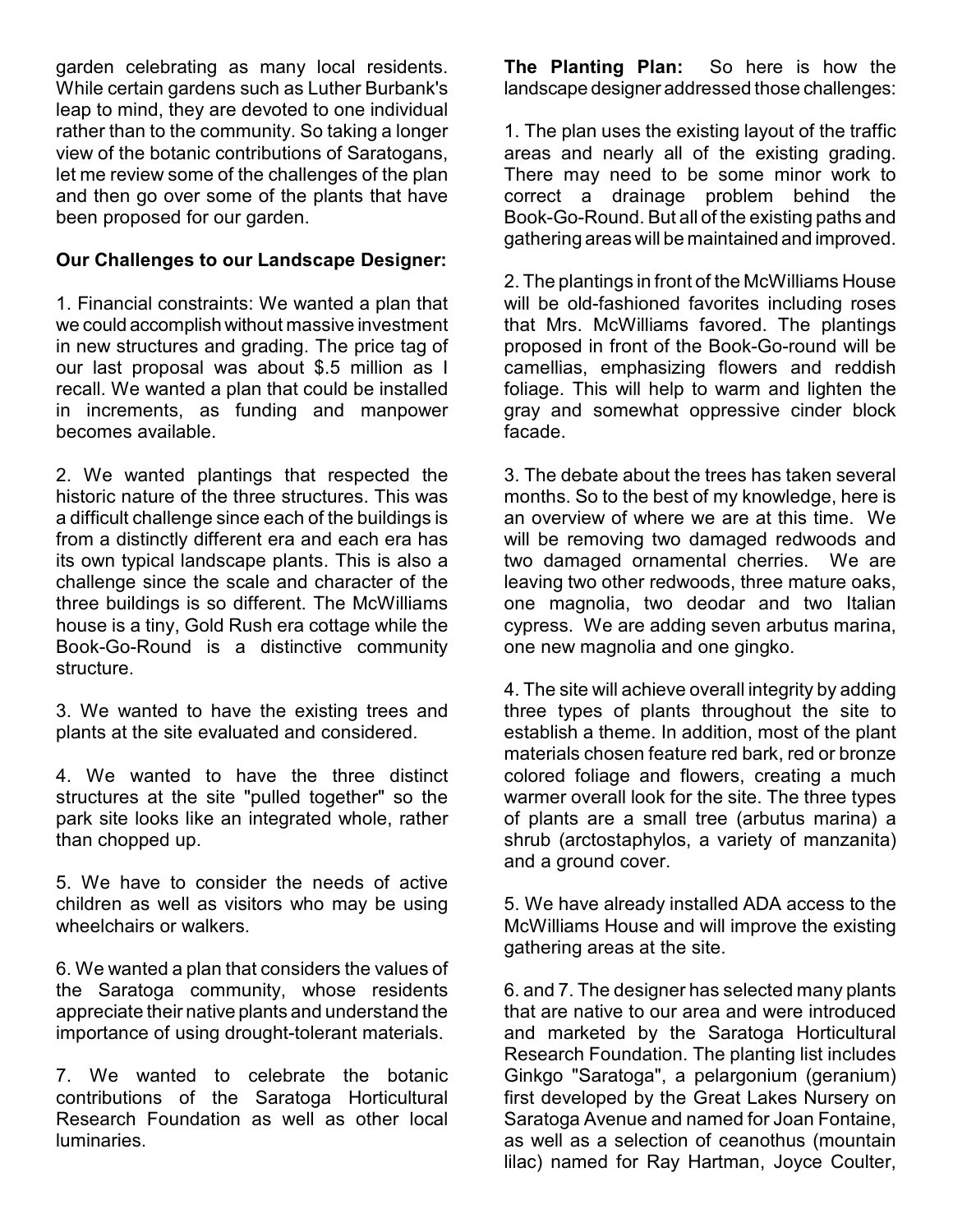garden celebrating as many local residents. While certain gardens such as Luther Burbank's leap to mind, they are devoted to one individual rather than to the community. So taking a longer view of the botanic contributions of Saratogans, let me review some of the challenges of the plan and then go over some of the plants that have been proposed for our garden.

#### **Our Challenges to our Landscape Designer:**

1. Financial constraints: We wanted a plan that we could accomplish without massive investment in new structures and grading. The price tag of our last proposal was about \$.5 million as I recall. We wanted a plan that could be installed in increments, as funding and manpower becomes available.

2. We wanted plantings that respected the historic nature of the three structures. This was a difficult challenge since each of the buildings is from a distinctly different era and each era has its own typical landscape plants. This is also a challenge since the scale and character of the three buildings is so different. The McWilliams house is a tiny, Gold Rush era cottage while the Book-Go-Round is a distinctive community structure.

3. We wanted to have the existing trees and plants at the site evaluated and considered.

4. We wanted to have the three distinct structures at the site "pulled together" so the park site looks like an integrated whole, rather than chopped up.

5. We have to consider the needs of active children as well as visitors who may be using wheelchairs or walkers.

6. We wanted a plan that considers the values of the Saratoga community, whose residents appreciate their native plants and understand the importance of using drought-tolerant materials.

7. We wanted to celebrate the botanic contributions of the Saratoga Horticultural Research Foundation as well as other local luminaries.

**The Planting Plan:** So here is how the landscape designer addressed those challenges:

1. The plan uses the existing layout of the traffic areas and nearly all of the existing grading. There may need to be some minor work to correct a drainage problem behind the Book-Go-Round. But all of the existing paths and gathering areas will be maintained and improved.

2. The plantings in front of the McWilliams House will be old-fashioned favorites including roses that Mrs. McWilliams favored. The plantings proposed in front of the Book-Go-round will be camellias, emphasizing flowers and reddish foliage. This will help to warm and lighten the gray and somewhat oppressive cinder block facade.

3. The debate about the trees has taken several months. So to the best of my knowledge, here is an overview of where we are at this time. We will be removing two damaged redwoods and two damaged ornamental cherries. We are leaving two other redwoods, three mature oaks, one magnolia, two deodar and two Italian cypress. We are adding seven arbutus marina, one new magnolia and one gingko.

4. The site will achieve overall integrity by adding three types of plants throughout the site to establish a theme. In addition, most of the plant materials chosen feature red bark, red or bronze colored foliage and flowers, creating a much warmer overall look for the site. The three types of plants are a small tree (arbutus marina) a shrub (arctostaphylos, a variety of manzanita) and a ground cover.

5. We have already installed ADA access to the McWilliams House and will improve the existing gathering areas at the site.

6. and 7. The designer has selected many plants that are native to our area and were introduced and marketed by the Saratoga Horticultural Research Foundation. The planting list includes Ginkgo "Saratoga", a pelargonium (geranium) first developed by the Great Lakes Nursery on Saratoga Avenue and named for Joan Fontaine, as well as a selection of ceanothus (mountain lilac) named for Ray Hartman, Joyce Coulter,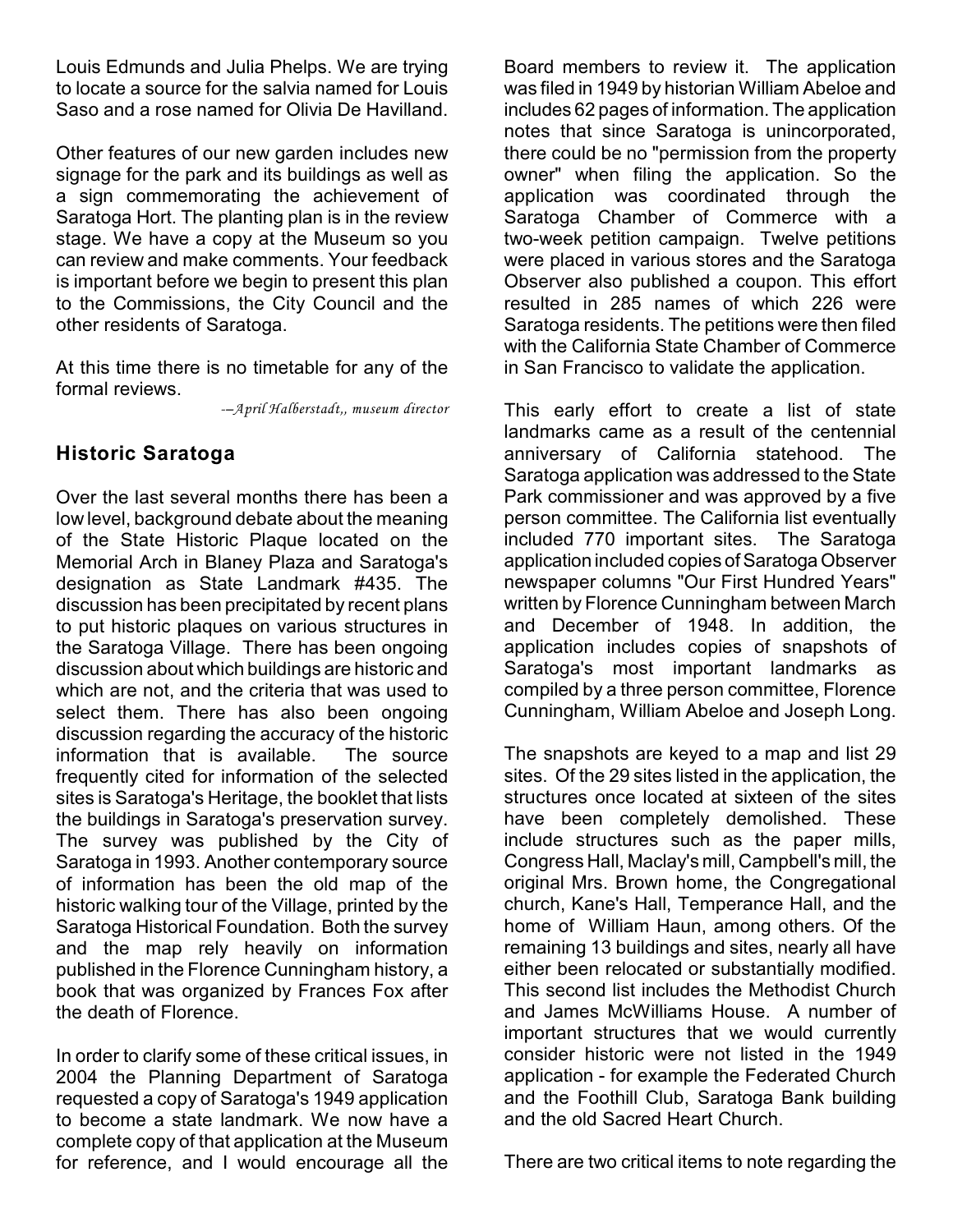Louis Edmunds and Julia Phelps. We are trying to locate a source for the salvia named for Louis Saso and a rose named for Olivia De Havilland.

Other features of our new garden includes new signage for the park and its buildings as well as a sign commemorating the achievement of Saratoga Hort. The planting plan is in the review stage. We have a copy at the Museum so you can review and make comments. Your feedback is important before we begin to present this plan to the Commissions, the City Council and the other residents of Saratoga.

At this time there is no timetable for any of the formal reviews.

*-–April Halberstadt,, museum director*

#### **Historic Saratoga**

Over the last several months there has been a low level, background debate about the meaning of the State Historic Plaque located on the Memorial Arch in Blaney Plaza and Saratoga's designation as State Landmark #435. The discussion has been precipitated by recent plans to put historic plaques on various structures in the Saratoga Village. There has been ongoing discussion about which buildings are historic and which are not, and the criteria that was used to select them. There has also been ongoing discussion regarding the accuracy of the historic information that is available. The source frequently cited for information of the selected sites is Saratoga's Heritage, the booklet that lists the buildings in Saratoga's preservation survey. The survey was published by the City of Saratoga in 1993. Another contemporary source of information has been the old map of the historic walking tour of the Village, printed by the Saratoga Historical Foundation. Both the survey and the map rely heavily on information published in the Florence Cunningham history, a book that was organized by Frances Fox after the death of Florence.

In order to clarify some of these critical issues, in 2004 the Planning Department of Saratoga requested a copy of Saratoga's 1949 application to become a state landmark. We now have a complete copy of that application at the Museum for reference, and I would encourage all the

Board members to review it. The application was filed in 1949 by historian William Abeloe and includes 62 pages of information. The application notes that since Saratoga is unincorporated, there could be no "permission from the property owner" when filing the application. So the application was coordinated through the Saratoga Chamber of Commerce with a two-week petition campaign. Twelve petitions were placed in various stores and the Saratoga Observer also published a coupon. This effort resulted in 285 names of which 226 were Saratoga residents. The petitions were then filed with the California State Chamber of Commerce in San Francisco to validate the application.

This early effort to create a list of state landmarks came as a result of the centennial anniversary of California statehood. The Saratoga application was addressed to the State Park commissioner and was approved by a five person committee. The California list eventually included 770 important sites. The Saratoga application included copies of Saratoga Observer newspaper columns "Our First Hundred Years" written by Florence Cunningham between March and December of 1948. In addition, the application includes copies of snapshots of Saratoga's most important landmarks as compiled by a three person committee, Florence Cunningham, William Abeloe and Joseph Long.

The snapshots are keyed to a map and list 29 sites. Of the 29 sites listed in the application, the structures once located at sixteen of the sites have been completely demolished. These include structures such as the paper mills, Congress Hall, Maclay's mill, Campbell's mill, the original Mrs. Brown home, the Congregational church, Kane's Hall, Temperance Hall, and the home of William Haun, among others. Of the remaining 13 buildings and sites, nearly all have either been relocated or substantially modified. This second list includes the Methodist Church and James McWilliams House. A number of important structures that we would currently consider historic were not listed in the 1949 application - for example the Federated Church and the Foothill Club, Saratoga Bank building and the old Sacred Heart Church.

There are two critical items to note regarding the